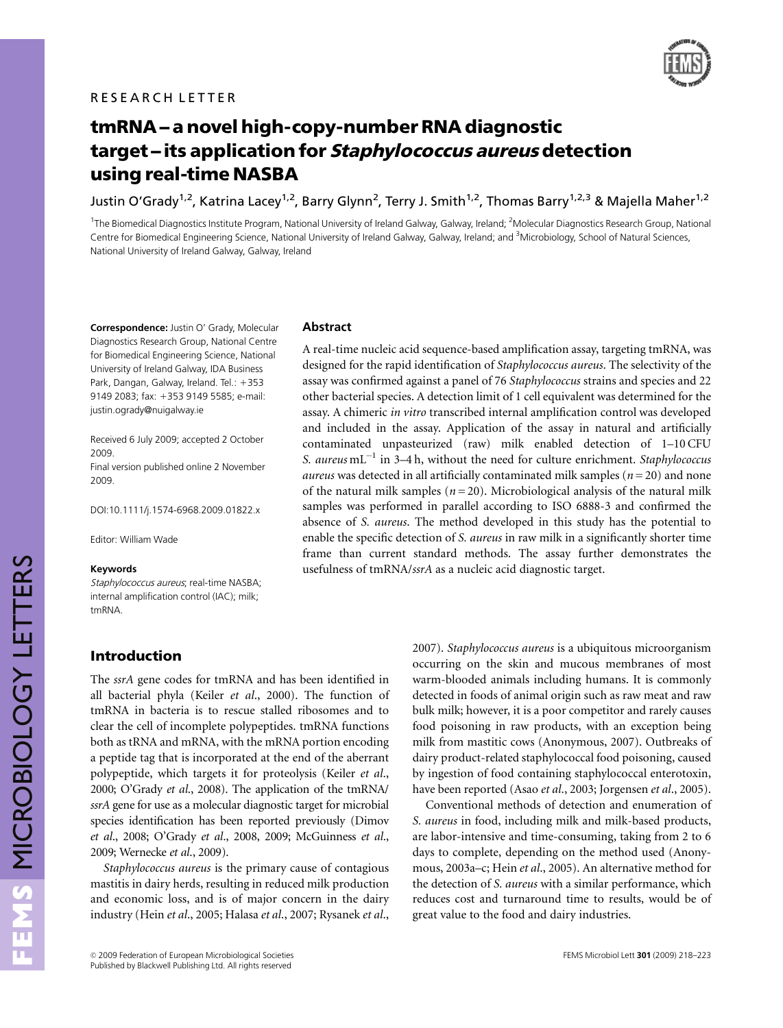

# tmRNA - a novel high-copy-number RNA diagnostic target – its application for Staphylococcus aureus detection using real-time NASBA

Justin O'Grady<sup>1,2</sup>, Katrina Lacey<sup>1,2</sup>, Barry Glynn<sup>2</sup>, Terry J. Smith<sup>1,2</sup>, Thomas Barry<sup>1,2,3</sup> & Majella Maher<sup>1,2</sup>

<sup>1</sup>The Biomedical Diagnostics Institute Program, National University of Ireland Galway, Galway, Ireland; <sup>2</sup>Molecular Diagnostics Research Group, National Centre for Biomedical Engineering Science, National University of Ireland Galway, Galway, Ireland; and <sup>3</sup>Microbiology, School of Natural Sciences, National University of Ireland Galway, Galway, Ireland

Correspondence: Justin O' Grady, Molecular Diagnostics Research Group, National Centre for Biomedical Engineering Science, National University of Ireland Galway, IDA Business Park, Dangan, Galway, Ireland. Tel.: +353 9149 2083; fax: +353 9149 5585; e-mail: [justin.ogrady@nuigalway.ie](mailto:justin.ogrady@nuigalway.ie)

Received 6 July 2009; accepted 2 October 2009. Final version published online 2 November

2009.

DOI:10.1111/j.1574-6968.2009.01822.x

Editor: William Wade

#### Keywords

Staphylococcus aureus; real-time NASBA; internal amplification control (IAC); milk; tmRNA.

# Introduction

The ssrA gene codes for tmRNA and has been identified in all bacterial phyla (Keiler et al., 2000). The function of tmRNA in bacteria is to rescue stalled ribosomes and to clear the cell of incomplete polypeptides. tmRNA functions both as tRNA and mRNA, with the mRNA portion encoding a peptide tag that is incorporated at the end of the aberrant polypeptide, which targets it for proteolysis (Keiler et al., 2000; O'Grady et al., 2008). The application of the tmRNA/ ssrA gene for use as a molecular diagnostic target for microbial species identification has been reported previously (Dimov et al., 2008; O'Grady et al., 2008, 2009; McGuinness et al., 2009; Wernecke et al., 2009).

Staphylococcus aureus is the primary cause of contagious mastitis in dairy herds, resulting in reduced milk production and economic loss, and is of major concern in the dairy industry (Hein et al., 2005; Halasa et al., 2007; Rysanek et al.,

#### **Abstract**

A real-time nucleic acid sequence-based amplification assay, targeting tmRNA, was designed for the rapid identification of *Staphylococcus aureus*. The selectivity of the assay was confirmed against a panel of 76 Staphylococcus strains and species and 22 other bacterial species. A detection limit of 1 cell equivalent was determined for the assay. A chimeric in vitro transcribed internal amplification control was developed and included in the assay. Application of the assay in natural and artificially contaminated unpasteurized (raw) milk enabled detection of 1–10 CFU S. aureus  $mL^{-1}$  in 3–4 h, without the need for culture enrichment. Staphylococcus *aureus* was detected in all artificially contaminated milk samples ( $n = 20$ ) and none of the natural milk samples ( $n = 20$ ). Microbiological analysis of the natural milk samples was performed in parallel according to ISO 6888-3 and confirmed the absence of S. aureus. The method developed in this study has the potential to enable the specific detection of S. *aureus* in raw milk in a significantly shorter time frame than current standard methods. The assay further demonstrates the usefulness of tmRNA/ssrA as a nucleic acid diagnostic target.

> 2007). Staphylococcus aureus is a ubiquitous microorganism occurring on the skin and mucous membranes of most warm-blooded animals including humans. It is commonly detected in foods of animal origin such as raw meat and raw bulk milk; however, it is a poor competitor and rarely causes food poisoning in raw products, with an exception being milk from mastitic cows (Anonymous, 2007). Outbreaks of dairy product-related staphylococcal food poisoning, caused by ingestion of food containing staphylococcal enterotoxin, have been reported (Asao et al., 2003; Jorgensen et al., 2005).

> Conventional methods of detection and enumeration of S. aureus in food, including milk and milk-based products, are labor-intensive and time-consuming, taking from 2 to 6 days to complete, depending on the method used (Anonymous, 2003a–c; Hein et al., 2005). An alternative method for the detection of S. aureus with a similar performance, which reduces cost and turnaround time to results, would be of great value to the food and dairy industries.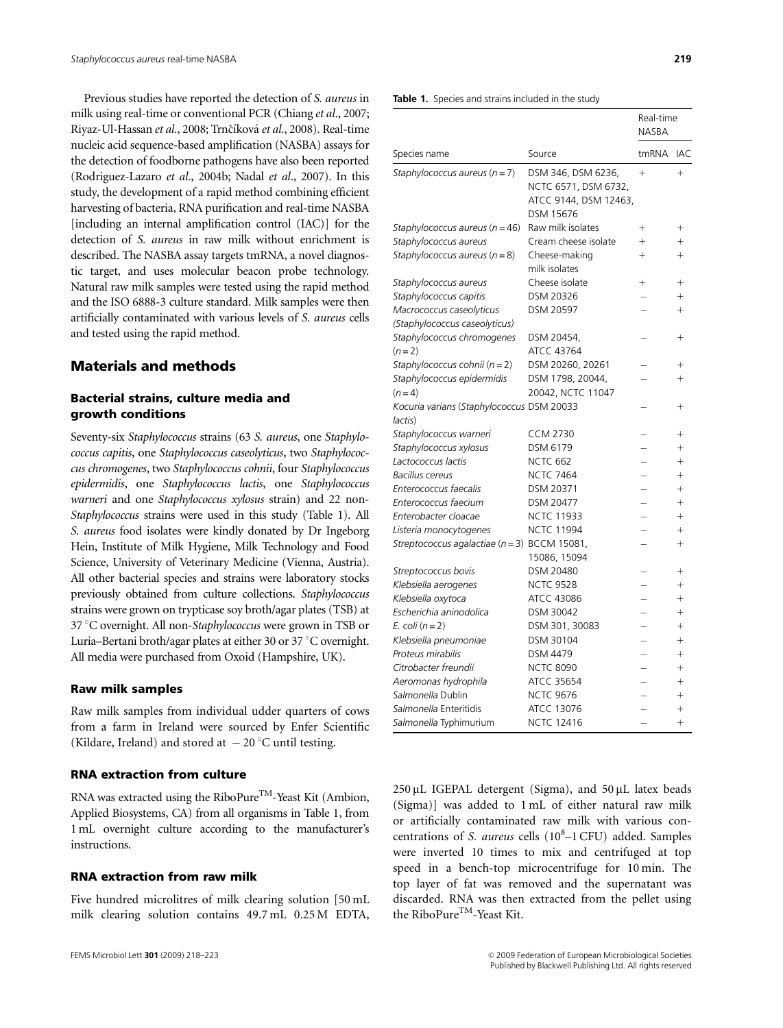Previous studies have reported the detection of S. aureus in milk using real-time or conventional PCR (Chiang et al., 2007; Riyaz-Ul-Hassan et al., 2008; Trnčíková et al., 2008). Real-time nucleic acid sequence-based amplification (NASBA) assays for the detection of foodborne pathogens have also been reported (Rodriguez-Lazaro et al., 2004b; Nadal et al., 2007). In this study, the development of a rapid method combining efficient harvesting of bacteria, RNA purification and real-time NASBA [including an internal amplification control (IAC)] for the detection of S. aureus in raw milk without enrichment is described. The NASBA assay targets tmRNA, a novel diagnostic target, and uses molecular beacon probe technology. Natural raw milk samples were tested using the rapid method and the ISO 6888-3 culture standard. Milk samples were then artificially contaminated with various levels of S. aureus cells and tested using the rapid method.

# Materials and methods

# Bacterial strains, culture media and growth conditions

Seventy-six Staphylococcus strains (63 S. aureus, one Staphylococcus capitis, one Staphylococcus caseolyticus, two Staphylococcus chromogenes, two Staphylococcus cohnii, four Staphylococcus epidermidis, one Staphylococcus lactis, one Staphylococcus warneri and one Staphylococcus xylosus strain) and 22 non-Staphylococcus strains were used in this study (Table 1). All S. aureus food isolates were kindly donated by Dr Ingeborg Hein, Institute of Milk Hygiene, Milk Technology and Food Science, University of Veterinary Medicine (Vienna, Austria). All other bacterial species and strains were laboratory stocks previously obtained from culture collections. Staphylococcus strains were grown on trypticase soy broth/agar plates (TSB) at 37 °C overnight. All non-Staphylococcus were grown in TSB or Luria–Bertani broth/agar plates at either 30 or 37 °C overnight. All media were purchased from Oxoid (Hampshire, UK).

#### Raw milk samples

Raw milk samples from individual udder quarters of cows from a farm in Ireland were sourced by Enfer Scientific (Kildare, Ireland) and stored at  $-20$  °C until testing.

#### RNA extraction from culture

RNA was extracted using the RiboPure<sup>TM</sup>-Yeast Kit (Ambion, Applied Biosystems, CA) from all organisms in Table 1, from 1 mL overnight culture according to the manufacturer's instructions.

#### RNA extraction from raw milk

Five hundred microlitres of milk clearing solution [50 mL milk clearing solution contains 49.7 mL 0.25 M EDTA,

Table 1. Species and strains included in the study

|                                                                 |                                                                                  | Real-time<br><b>NASBA</b> |                  |
|-----------------------------------------------------------------|----------------------------------------------------------------------------------|---------------------------|------------------|
| Species name                                                    | Source                                                                           | tmRNA                     | IAC              |
| Staphylococcus aureus (n = 7)                                   | DSM 346, DSM 6236,<br>NCTC 6571, DSM 6732,<br>ATCC 9144, DSM 12463,<br>DSM 15676 | $+$                       | $+$              |
| Staphylococcus aureus ( $n = 46$ )                              | Raw milk isolates                                                                | $^{+}$                    | $+$              |
| Staphylococcus aureus                                           | Cream cheese isolate                                                             | $+$                       | $+$              |
| Staphylococcus aureus ( $n = 8$ )                               | Cheese-making<br>milk isolates                                                   | $+$                       | $\ddot{}$        |
| Staphylococcus aureus                                           | Cheese isolate                                                                   | $^{+}$                    | $+$              |
| Staphylococcus capitis                                          | DSM 20326                                                                        |                           | $+$              |
| Macrococcus caseolyticus                                        | DSM 20597                                                                        |                           | $+$              |
| (Staphylococcus caseolyticus)                                   |                                                                                  |                           |                  |
| Staphylococcus chromogenes                                      | DSM 20454,<br>ATCC 43764                                                         |                           | $^{+}$           |
| $(n=2)$                                                         |                                                                                  |                           | $+$              |
| Staphylococcus cohnii ( $n = 2$ )<br>Staphylococcus epidermidis | DSM 20260, 20261<br>DSM 1798, 20044,                                             |                           | $\ddot{}$        |
| $(n=4)$                                                         | 20042, NCTC 11047                                                                |                           |                  |
| Kocuria varians (Staphylococcus DSM 20033                       |                                                                                  |                           | $^{+}$           |
| lactis)                                                         | <b>CCM 2730</b>                                                                  |                           |                  |
| Staphylococcus warneri                                          | DSM 6179                                                                         |                           | $+$              |
| Staphylococcus xylosus<br>Lactococcus lactis                    | <b>NCTC 662</b>                                                                  |                           | $^{+}$<br>$^{+}$ |
| <b>Bacillus cereus</b>                                          | <b>NCTC 7464</b>                                                                 |                           | $\ddot{}$        |
| Enterococcus faecalis                                           | DSM 20371                                                                        |                           | $+$              |
| Enterococcus faecium                                            | DSM 20477                                                                        |                           | $^{+}$           |
| Enterobacter cloacae                                            | NCTC 11933                                                                       |                           | $+$              |
| Listeria monocytogenes                                          | <b>NCTC 11994</b>                                                                |                           | $+$              |
| Streptococcus agalactiae ( $n = 3$ ) BCCM 15081,                |                                                                                  |                           | $\ddot{}$        |
|                                                                 | 15086, 15094                                                                     |                           |                  |
| Streptococcus bovis                                             | DSM 20480                                                                        |                           | $+$              |
| Klebsiella aerogenes                                            | <b>NCTC 9528</b>                                                                 |                           | $\ddot{}$        |
| Klebsiella oxytoca                                              | ATCC 43086                                                                       |                           | $\ddot{}$        |
| Escherichia aninodolica                                         | DSM 30042                                                                        |                           | $+$              |
| E. coli $(n=2)$                                                 | DSM 301, 30083                                                                   |                           | $\ddot{}$        |
| Klebsiella pneumoniae                                           | DSM 30104                                                                        |                           | $+$              |
| Proteus mirabilis                                               | <b>DSM 4479</b>                                                                  |                           | $\ddot{}$        |
| Citrobacter freundii                                            | <b>NCTC 8090</b>                                                                 |                           | $\ddot{}$        |
| Aeromonas hydrophila                                            | ATCC 35654                                                                       |                           | $+$              |
| Salmonella Dublin                                               | <b>NCTC 9676</b>                                                                 |                           | $+$              |
| Salmonella Enteritidis                                          | ATCC 13076                                                                       |                           | $+$              |
| Salmonella Typhimurium                                          | <b>NCTC 12416</b>                                                                |                           | $+$              |

 $250 \,\mu$ L IGEPAL detergent (Sigma), and  $50 \,\mu$ L latex beads (Sigma)] was added to 1 mL of either natural raw milk or artificially contaminated raw milk with various concentrations of S. aureus cells (108-1 CFU) added. Samples were inverted 10 times to mix and centrifuged at top speed in a bench-top microcentrifuge for 10 min. The top layer of fat was removed and the supernatant was discarded. RNA was then extracted from the pellet using the RiboPure<sup>TM</sup>-Yeast Kit.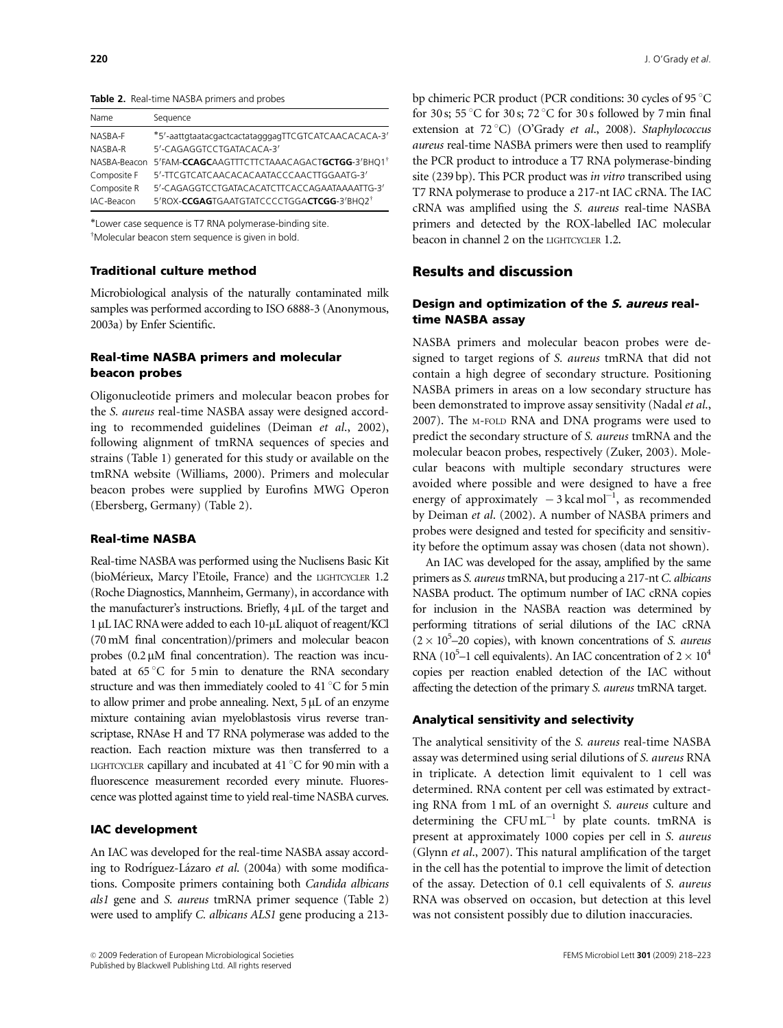Table 2. Real-time NASBA primers and probes

| Name        | Sequence                                                              |
|-------------|-----------------------------------------------------------------------|
| NASBA-F     | *5'-aattgtaatacgactcactatagggagTTCGTCATCAACACACA-3'                   |
| NASBA-R     | 5'-CAGAGGTCCTGATACACA-3'                                              |
|             | NASBA-Beacon 5'FAM-CCAGCAAGTTTCTTCTAAACAGACTGCTGG-3'BHQ1 <sup>†</sup> |
| Composite F | 5'-TTCGTCATCAACACACAATACCCAACTTGGAATG-3'                              |
| Composite R | 5'-CAGAGGTCCTGATACACATCTTCACCAGAATAAAATTG-3'                          |
| IAC-Beacon  | 5'ROX-CCGAGTGAATGTATCCCCTGGACTCGG-3'BHO2 <sup>†</sup>                 |

-Lower case sequence is T7 RNA polymerase-binding site.  $\bar{M}$ Molecular beacon stem sequence is given in bold.

#### Traditional culture method

Microbiological analysis of the naturally contaminated milk samples was performed according to ISO 6888-3 (Anonymous, 2003a) by Enfer Scientific.

## Real-time NASBA primers and molecular beacon probes

Oligonucleotide primers and molecular beacon probes for the S. aureus real-time NASBA assay were designed according to recommended guidelines (Deiman et al., 2002), following alignment of tmRNA sequences of species and strains (Table 1) generated for this study or available on the tmRNA website (Williams, 2000). Primers and molecular beacon probes were supplied by Eurofins MWG Operon (Ebersberg, Germany) (Table 2).

#### Real-time NASBA

Real-time NASBA was performed using the Nuclisens Basic Kit (bioMérieux, Marcy l'Etoile, France) and the LIGHTCYCLER 1.2 (Roche Diagnostics, Mannheim, Germany), in accordance with the manufacturer's instructions. Briefly,  $4 \mu L$  of the target and 1 µL IAC RNA were added to each 10-µL aliquot of reagent/KCl (70 mM final concentration)/primers and molecular beacon probes  $(0.2 \mu M)$  final concentration). The reaction was incubated at  $65^{\circ}$ C for 5 min to denature the RNA secondary structure and was then immediately cooled to 41 $\degree$ C for 5 min to allow primer and probe annealing. Next,  $5 \mu L$  of an enzyme mixture containing avian myeloblastosis virus reverse transcriptase, RNAse H and T7 RNA polymerase was added to the reaction. Each reaction mixture was then transferred to a LIGHTCYCLER capillary and incubated at  $41^{\circ}$ C for 90 min with a fluorescence measurement recorded every minute. Fluorescence was plotted against time to yield real-time NASBA curves.

#### IAC development

An IAC was developed for the real-time NASBA assay according to Rodríguez-Lázaro et al. (2004a) with some modifications. Composite primers containing both Candida albicans als1 gene and S. aureus tmRNA primer sequence (Table 2) were used to amplify C. albicans ALS1 gene producing a 213bp chimeric PCR product (PCR conditions: 30 cycles of 95 °C for 30 s; 55 °C for 30 s; 72 °C for 30 s followed by 7 min final extension at  $72^{\circ}$ C) (O'Grady et al., 2008). Staphylococcus aureus real-time NASBA primers were then used to reamplify the PCR product to introduce a T7 RNA polymerase-binding site (239 bp). This PCR product was in vitro transcribed using T7 RNA polymerase to produce a 217-nt IAC cRNA. The IAC cRNA was amplified using the S. aureus real-time NASBA primers and detected by the ROX-labelled IAC molecular beacon in channel 2 on the LIGHTCYCLER 1.2.

# Results and discussion

## Design and optimization of the S. aureus realtime NASBA assay

NASBA primers and molecular beacon probes were designed to target regions of S. aureus tmRNA that did not contain a high degree of secondary structure. Positioning NASBA primers in areas on a low secondary structure has been demonstrated to improve assay sensitivity (Nadal et al., 2007). The M-FOLD RNA and DNA programs were used to predict the secondary structure of S. aureus tmRNA and the molecular beacon probes, respectively (Zuker, 2003). Molecular beacons with multiple secondary structures were avoided where possible and were designed to have a free energy of approximately  $-3$  kcal mol<sup>-1</sup>, as recommended by Deiman et al. (2002). A number of NASBA primers and probes were designed and tested for specificity and sensitivity before the optimum assay was chosen (data not shown).

An IAC was developed for the assay, amplified by the same primers as S. aureus tmRNA, but producing a 217-nt C. albicans NASBA product. The optimum number of IAC cRNA copies for inclusion in the NASBA reaction was determined by performing titrations of serial dilutions of the IAC cRNA  $(2 \times 10^5 - 20$  copies), with known concentrations of S. aureus RNA ( $10^5$ –1 cell equivalents). An IAC concentration of  $2 \times 10^4$ copies per reaction enabled detection of the IAC without affecting the detection of the primary S. aureus tmRNA target.

#### Analytical sensitivity and selectivity

The analytical sensitivity of the S. aureus real-time NASBA assay was determined using serial dilutions of S. aureus RNA in triplicate. A detection limit equivalent to 1 cell was determined. RNA content per cell was estimated by extracting RNA from 1 mL of an overnight S. aureus culture and determining the  $CFUmL^{-1}$  by plate counts. tmRNA is present at approximately 1000 copies per cell in S. aureus (Glynn et al., 2007). This natural amplification of the target in the cell has the potential to improve the limit of detection of the assay. Detection of 0.1 cell equivalents of S. aureus RNA was observed on occasion, but detection at this level was not consistent possibly due to dilution inaccuracies.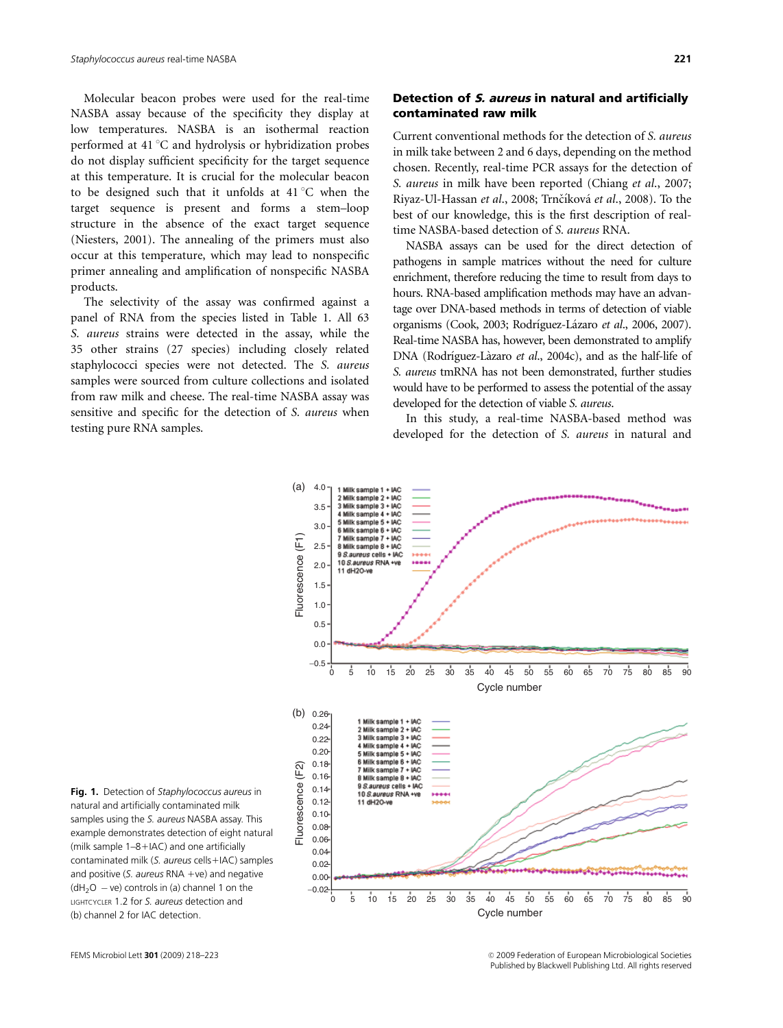Molecular beacon probes were used for the real-time NASBA assay because of the specificity they display at low temperatures. NASBA is an isothermal reaction performed at  $41^{\circ}$ C and hydrolysis or hybridization probes do not display sufficient specificity for the target sequence at this temperature. It is crucial for the molecular beacon to be designed such that it unfolds at  $41^{\circ}$ C when the target sequence is present and forms a stem–loop structure in the absence of the exact target sequence (Niesters, 2001). The annealing of the primers must also occur at this temperature, which may lead to nonspecific primer annealing and amplification of nonspecific NASBA products.

The selectivity of the assay was confirmed against a panel of RNA from the species listed in Table 1. All 63 S. aureus strains were detected in the assay, while the 35 other strains (27 species) including closely related staphylococci species were not detected. The S. aureus samples were sourced from culture collections and isolated from raw milk and cheese. The real-time NASBA assay was sensitive and specific for the detection of S. aureus when testing pure RNA samples.

# Detection of S. aureus in natural and artificially contaminated raw milk

Current conventional methods for the detection of S. aureus in milk take between 2 and 6 days, depending on the method chosen. Recently, real-time PCR assays for the detection of S. aureus in milk have been reported (Chiang et al., 2007; Riyaz-Ul-Hassan et al., 2008; Trnčíková et al., 2008). To the best of our knowledge, this is the first description of realtime NASBA-based detection of S. aureus RNA.

NASBA assays can be used for the direct detection of pathogens in sample matrices without the need for culture enrichment, therefore reducing the time to result from days to hours. RNA-based amplification methods may have an advantage over DNA-based methods in terms of detection of viable organisms (Cook, 2003; Rodríguez-Lázaro et al., 2006, 2007). Real-time NASBA has, however, been demonstrated to amplify DNA (Rodríguez-Làzaro et al., 2004c), and as the half-life of S. aureus tmRNA has not been demonstrated, further studies would have to be performed to assess the potential of the assay developed for the detection of viable S. aureus.

In this study, a real-time NASBA-based method was developed for the detection of S. aureus in natural and



Fig. 1. Detection of Staphylococcus aureus in natural and artificially contaminated milk samples using the S. aureus NASBA assay. This example demonstrates detection of eight natural (milk sample  $1-8+IAC$ ) and one artificially contaminated milk (S. aureus cells+IAC) samples and positive (S. aureus RNA +ve) and negative  $(dH<sub>2</sub>O - ve)$  controls in (a) channel 1 on the LIGHTCYCLER 1.2 for S. aureus detection and (b) channel 2 for IAC detection.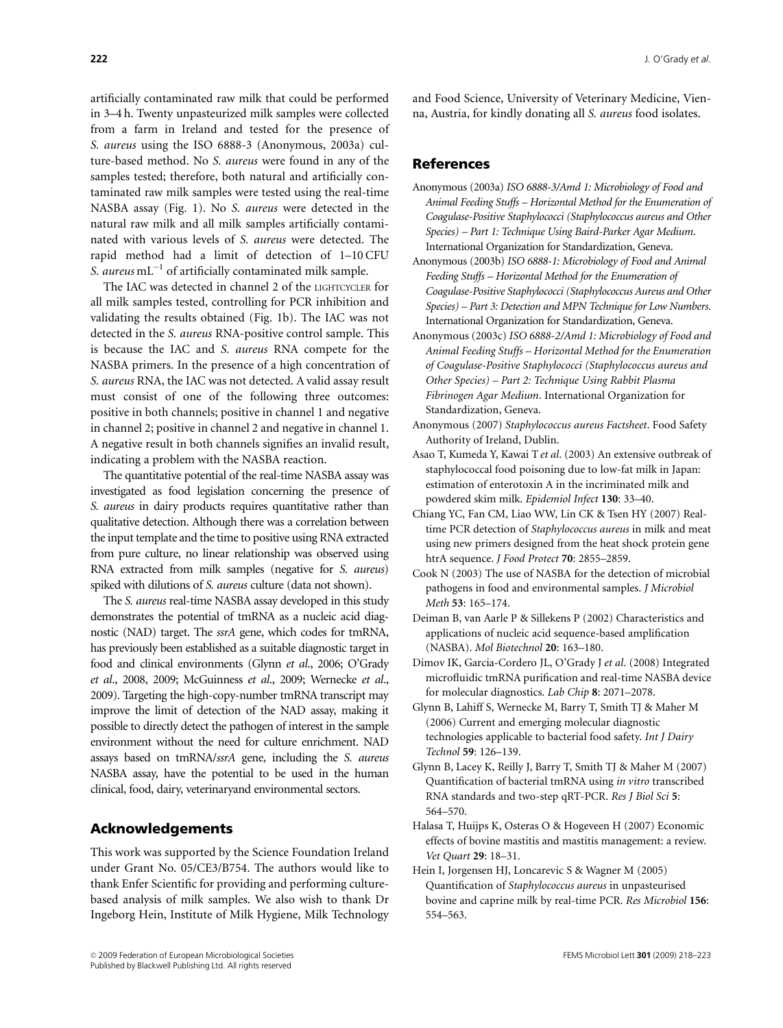artificially contaminated raw milk that could be performed in 3–4 h. Twenty unpasteurized milk samples were collected from a farm in Ireland and tested for the presence of S. aureus using the ISO 6888-3 (Anonymous, 2003a) culture-based method. No S. aureus were found in any of the samples tested; therefore, both natural and artificially contaminated raw milk samples were tested using the real-time NASBA assay (Fig. 1). No S. aureus were detected in the natural raw milk and all milk samples artificially contaminated with various levels of S. aureus were detected. The rapid method had a limit of detection of 1–10 CFU S. aureus  $mL^{-1}$  of artificially contaminated milk sample.

The IAC was detected in channel 2 of the LIGHTCYCLER for all milk samples tested, controlling for PCR inhibition and validating the results obtained (Fig. 1b). The IAC was not detected in the S. aureus RNA-positive control sample. This is because the IAC and S. aureus RNA compete for the NASBA primers. In the presence of a high concentration of S. aureus RNA, the IAC was not detected. A valid assay result must consist of one of the following three outcomes: positive in both channels; positive in channel 1 and negative in channel 2; positive in channel 2 and negative in channel 1. A negative result in both channels signifies an invalid result, indicating a problem with the NASBA reaction.

The quantitative potential of the real-time NASBA assay was investigated as food legislation concerning the presence of S. aureus in dairy products requires quantitative rather than qualitative detection. Although there was a correlation between the input template and the time to positive using RNA extracted from pure culture, no linear relationship was observed using RNA extracted from milk samples (negative for S. aureus) spiked with dilutions of S. aureus culture (data not shown).

The S. aureus real-time NASBA assay developed in this study demonstrates the potential of tmRNA as a nucleic acid diagnostic (NAD) target. The ssrA gene, which codes for tmRNA, has previously been established as a suitable diagnostic target in food and clinical environments (Glynn et al., 2006; O'Grady et al., 2008, 2009; McGuinness et al., 2009; Wernecke et al., 2009). Targeting the high-copy-number tmRNA transcript may improve the limit of detection of the NAD assay, making it possible to directly detect the pathogen of interest in the sample environment without the need for culture enrichment. NAD assays based on tmRNA/ssrA gene, including the S. aureus NASBA assay, have the potential to be used in the human clinical, food, dairy, veterinaryand environmental sectors.

# Acknowledgements

This work was supported by the Science Foundation Ireland under Grant No. 05/CE3/B754. The authors would like to thank Enfer Scientific for providing and performing culturebased analysis of milk samples. We also wish to thank Dr Ingeborg Hein, Institute of Milk Hygiene, Milk Technology and Food Science, University of Veterinary Medicine, Vienna, Austria, for kindly donating all S. aureus food isolates.

# References

- Anonymous (2003a) ISO 6888-3/Amd 1: Microbiology of Food and Animal Feeding Stuffs – Horizontal Method for the Enumeration of Coagulase-Positive Staphylococci (Staphylococcus aureus and Other Species) – Part 1: Technique Using Baird-Parker Agar Medium. International Organization for Standardization, Geneva.
- Anonymous (2003b) ISO 6888-1: Microbiology of Food and Animal Feeding Stuffs – Horizontal Method for the Enumeration of Coagulase-Positive Staphylococci (Staphylococcus Aureus and Other Species) – Part 3: Detection and MPN Technique for Low Numbers. International Organization for Standardization, Geneva.
- Anonymous (2003c) ISO 6888-2/Amd 1: Microbiology of Food and Animal Feeding Stuffs – Horizontal Method for the Enumeration of Coagulase-Positive Staphylococci (Staphylococcus aureus and Other Species) – Part 2: Technique Using Rabbit Plasma Fibrinogen Agar Medium. International Organization for Standardization, Geneva.
- Anonymous (2007) Staphylococcus aureus Factsheet. Food Safety Authority of Ireland, Dublin.
- Asao T, Kumeda Y, Kawai T et al. (2003) An extensive outbreak of staphylococcal food poisoning due to low-fat milk in Japan: estimation of enterotoxin A in the incriminated milk and powdered skim milk. Epidemiol Infect 130: 33–40.
- Chiang YC, Fan CM, Liao WW, Lin CK & Tsen HY (2007) Realtime PCR detection of Staphylococcus aureus in milk and meat using new primers designed from the heat shock protein gene htrA sequence. *J Food Protect* 70: 2855-2859.
- Cook N (2003) The use of NASBA for the detection of microbial pathogens in food and environmental samples. J Microbiol Meth 53: 165–174.
- Deiman B, van Aarle P & Sillekens P (2002) Characteristics and applications of nucleic acid sequence-based amplification (NASBA). Mol Biotechnol 20: 163–180.
- Dimov IK, Garcia-Cordero JL, O'Grady J et al. (2008) Integrated microfluidic tmRNA purification and real-time NASBA device for molecular diagnostics. Lab Chip 8: 2071–2078.
- Glynn B, Lahiff S, Wernecke M, Barry T, Smith TJ & Maher M (2006) Current and emerging molecular diagnostic technologies applicable to bacterial food safety. Int J Dairy Technol 59: 126–139.
- Glynn B, Lacey K, Reilly J, Barry T, Smith TJ & Maher M (2007) Quantification of bacterial tmRNA using in vitro transcribed RNA standards and two-step qRT-PCR. Res J Biol Sci 5: 564–570.
- Halasa T, Huijps K, Osteras O & Hogeveen H (2007) Economic effects of bovine mastitis and mastitis management: a review. Vet Quart 29: 18–31.
- Hein I, Jorgensen HJ, Loncarevic S & Wagner M (2005) Quantification of Staphylococcus aureus in unpasteurised bovine and caprine milk by real-time PCR. Res Microbiol 156: 554–563.